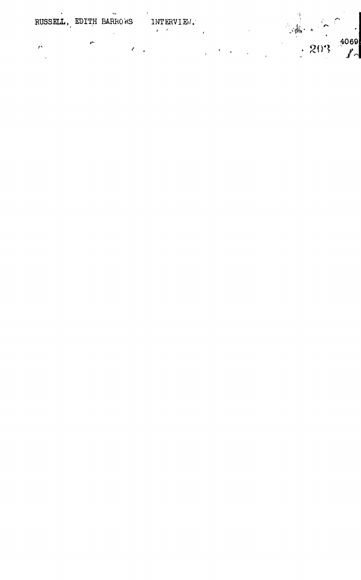|  |                        |            | $\sim$ $\sim$ $\sim$ |  |
|--|------------------------|------------|----------------------|--|
|  | RUSSELL, EDITH BARROWS | INTERVIEW. |                      |  |
|  |                        |            |                      |  |

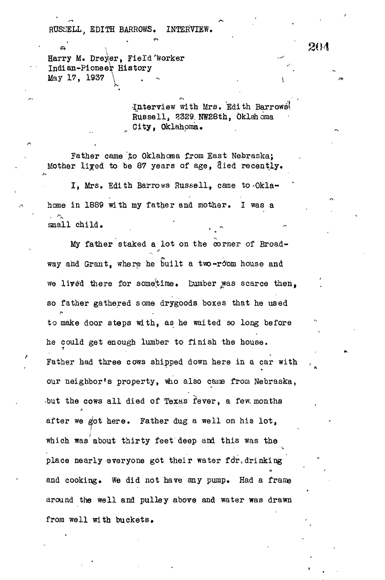RUSSELL, EDITH BARROWS. INTERVIEW.

Harry M. Dreyer, Field'Worker Indian-Pioneer History May 17, 1937

> Interview with Mrs. Edith Barrows Russell. 2329. NW28th, Oklahoma City, Oklahoma.

> > \* *r*

Father came to Oklahoma from East Nebraska; Mother lived to be 87 years of age, died recently.

I, Mrs. Edith Barrows Russell, came to Oklahome in 1889 with my father and mother. I was a small child.

My father staked a lot on the corner of Broad**r** way and Grant, where he built a two-room house and we lived there for sometime. Lumber was scarce then, so father gathered some drygoods boxes that he used to make door steps with, as he waited so long before he could get enough lumber to finish the house. Father had three cows shipped down here in a car with our neighbor's property, who also came from Nebraska, but the cows all died of Texas fever, a few months after we got here. Father dug a well on his lot, which was about thirty feet deep and this was the place nearly everyone got their water fdr.drinking and cooking. We did not have any pump. Had a frame around the well and pulley above and water was drawn from well with buckets.

204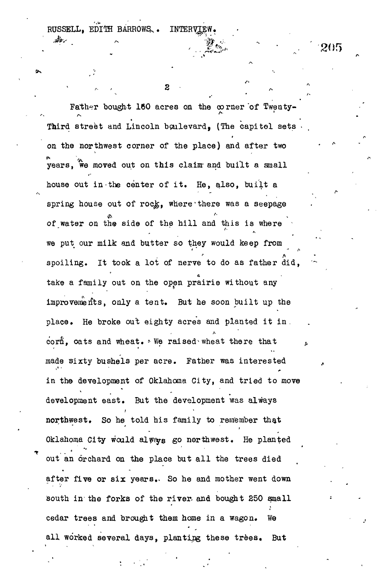RUSSELL, EDITH BARROWS.. INTERVIEW

Father bought 160 acres on the corner 'of Twenty-Third street and Lincoln boulevard, (The capitol sets • on the northwest corner of the place) and after two years, we moved out on this claim and built a small house out in the center of it. He, also, built a spring house out of rock, where there was a seepage of water on the side of the hill and this is where ^ A. we put our milk and butter so they would keep from spoiling. It took a lot of nerve to do as father did, take a family out on the open prairie without any improvements, only a tent. But he soon built up the place. He broke out eighty acres and planted it in. corn, cats and wheat.  $\cdot$  We raised wheat there that made sixty bushels per acre. Father was interested in the development of Oklahoma City, and tried to move development east. But the development was always northwest. So he told his family to remember that Oklahoma City would always go northwest. He planted out an orchard on the place but all the trees died after five or six years.. So he and mother went down south in the forks of the river and bought 250 small cedar trees and brought them home in a wagon. We all worked several days, planting these trees. But

205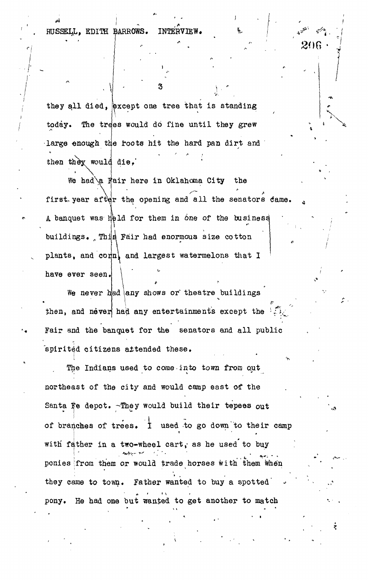. RUSSEIJL, EDITH BARROWS. INTERVIEW,

they all died, except one tree that is standing today. The trees would do fine until they grew large enough the roots hit the hard pan dirt and then they would die,

206

We had\a Hair here in Oklahoma City the first year after the opening and all the senators  $\epsilon$ ame. A banquet was  $h$ bld for them in one of the business buildings. This Fair had enormous size cotton plants, and  $\text{config}_1$  and largest watermelons that I have ever seen.

We never had any shows or theatre buildings then, and never had any entertainments except the  $\mathbb{R}_{\mathbb{Z}}$ Fair and the banquet for the senators and all public 'spirited citizens aitended these.

The Indians used to come into town from out northeast of the city and would camp east of the Santa  $\bar{F}$ e depot.  $\text{-}$ They would build their tepees out of branches of trees. I used to go down to their camp with father in a two-wheel cart, as he used to buy with the father in a two-wheel cart,- as he used to buyer in a two-wheel cart,- as  $\frac{1}{2}$ ponies from them or would trade horses with them when ponies I from them or would trade horses with them when they came to town. Father wanted to buy a spotted they came to town. Father wanted to buy a spotted" pony. He had one but wanted to get another to get another to get another to match to get another to match the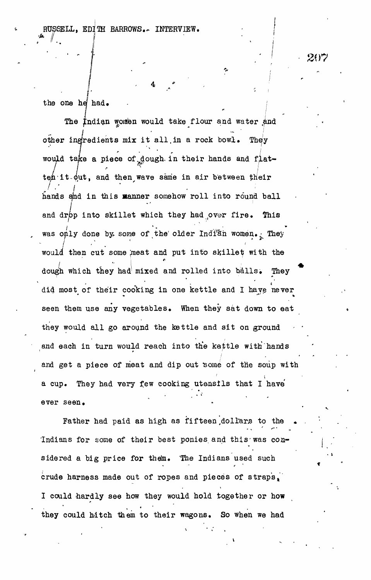$207$ 

 $\tilde{\phantom{a}}$ 

the one he had.

The Indian women would take flour and water and **-** *\* . " i* other ingredients mix it all in a rock bowl. They would take a piece of dough in their hands and flatuld take a piece of dough in their hands and find the same in their between the direction of the same in air between  $\frac{1}{2}$  $\sum_{i=1}^{n}$ hands and in this manner somehow roll into round ball hands and in this Manner somehow roll into round ball and drbp into skillet which they had ,over fire. This was only done by some of the older Indian women. They would then cut some meat and put into skillet with the dough which they had mixed and rolled into balls. They did most of their cooking in one kettle and I have never seen them use any vegetables. When they sat down to eat they would all go around the kettle and sit on ground and each in turn would reach into the kettle with hands and get a piece of meat and dip out some of the soup with a cup. They had very few cooking utensils that I have ever seen.

Father had paid as high as fifteen dollars to the Indians for some of their best ponies and this was considered a big price for them. The Indians used such crude harness made out of ropes and pieces of straps, I could hardly see how they would hold together or how they could hitch them to their wagons. So when we had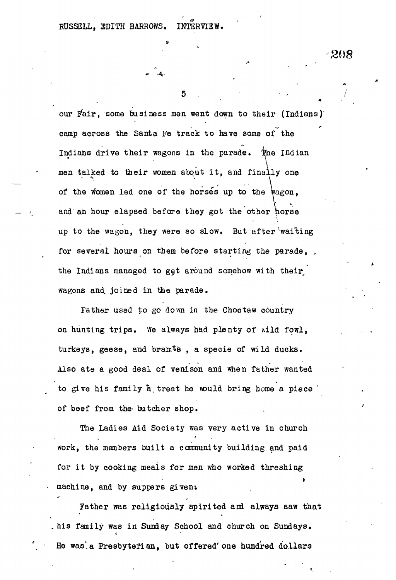-208

j»

**5 , • • , /**

**9**

our Fair, some business men went down to their (Indians)' camp across the Santa Fe track to have some of the Indians drive their wagons in the parade. The Indian **A** men talked to tien women about it, and finally one **• \*\ "- \**  $\sum_{i=1}^{\infty}$  the women led one of the horses up to the  $\sum_{i=1}^{\infty}$ and an hour elapsed before they got the other horse up to the wagon, they were so slow. But after waiting for several hours on them before starting the parade, . the Indians managed to get around somehow with their wagons and. joined in the parade.

Father used to go down in the Choctaw country on hunting trips. We always had plenty of wild fowl, turkeys, geese, and brants, a specie of wild ducks. Also ate a good deal of venison and when father wanted to give his family  $a$ , treat he would bring home a piece of beef from the butcher shop.

The Ladies Aid Society was very active in church work, the members built a community building and paid for it by cooking meals for men who worked threshing **t** machine, and by suppers given;

 $\mathcal{L}$  machine, and by suppers given by suppers given by

Father was religiously spirited and always saw that Father was religiously spirited and  $\mathcal{A}$  always saw that  $\mathcal{A}$ . his family was in Sunday School and church on Sundays. . His family was in Sunday School and church on Sundays. The sunday  $S_{\rm N}$ He was a Presbyterian, but offered one hundred dollars

He was\*.a Presbyterian, but offered'one hundred dollars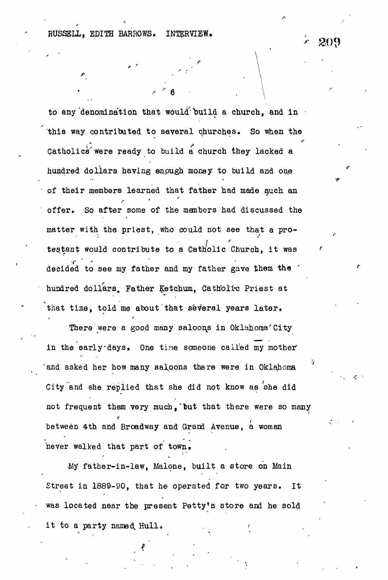'

r 6  $\bullet$  .  $\bullet$  .  $\bullet$  .  $\bullet$ 

to any denomination that would build a church, and in this way contributed to several qhurches. So when the Catholics were ready to build a church they lacked a hundred dollars having enough money to build and one of their members learned that father had made such an offer. So after some of the members had discussed the matter with the priest, who could not see that a proteatant would contribute to a Catholic Church, it was decided to see my father and my father gave them the " hundred dollars. Father Ketchum, Catholic Priest at that time, told me about that several years later.

There were a good many saloons in Oklahoma'City in the early'days. One time someone called my mother' and asked her how many saloons there were in Oklahoma City and she replied that she did not know as she did not frequent them very much, 'but that there were so many between 4th and Broadway and Grand Avenue, a woman never walked that part of town.

•My father-in-law, Malone, built a store on Main Street in 1889-90, that he operated for two years. It was located near the present Petty's store and he sold it to a party named Hull.